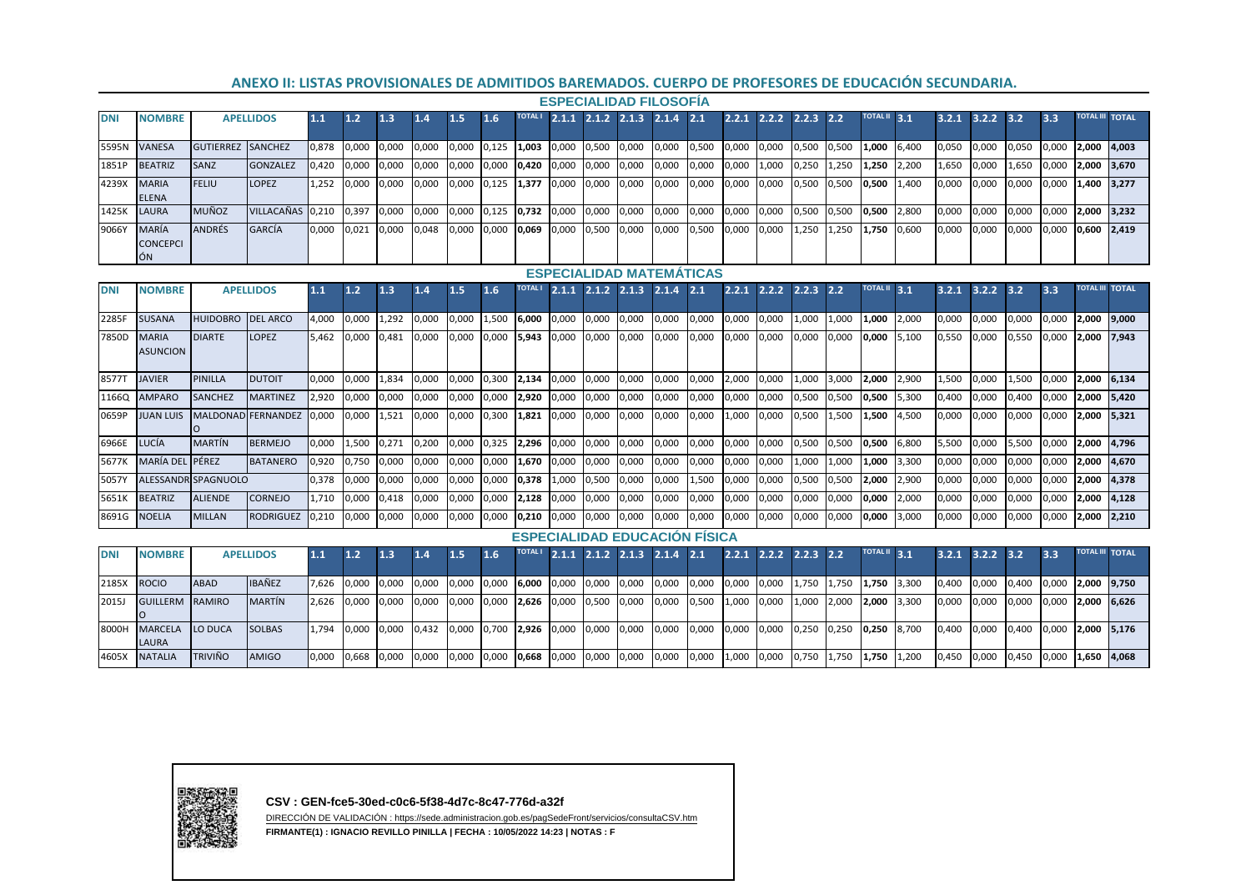## **ANEXO II: LISTAS PROVISIONALES DE ADMITIDOS BAREMADOS. CUERPO DE PROFESORES DE EDUCACIÓN SECUNDARIA.**

| <b>ESPECIALIDAD FILOSOFIA</b> |                                       |                          |                  |       |       |                                                       |                                             |     |                                                 |  |  |  |  |                                    |       |             |       |                                                                                                                                  |                     |       |             |             |       |                        |  |
|-------------------------------|---------------------------------------|--------------------------|------------------|-------|-------|-------------------------------------------------------|---------------------------------------------|-----|-------------------------------------------------|--|--|--|--|------------------------------------|-------|-------------|-------|----------------------------------------------------------------------------------------------------------------------------------|---------------------|-------|-------------|-------------|-------|------------------------|--|
| <b>DNI</b>                    | <b>NOMBRE</b>                         | <b>APELLIDOS</b>         |                  | 1.1   | 1.2   | 1.3                                                   | 1.4                                         | 1.5 | 1.6                                             |  |  |  |  | TOTALI 2.1.1 2.1.2 2.1.3 2.1.4 2.1 |       |             |       | $2.2.1$ $2.2.2$ $2.2.3$ $2.2$                                                                                                    | <b>TOTAL II</b> 3.1 | 3.2.1 | $3.2.2$ 3.2 |             | 3.3   | <b>TOTAL III TOTAL</b> |  |
|                               | 5595N VANESA                          | <b>GUTIERREZ SANCHEZ</b> |                  | 0,878 |       | 0,000 0,000 0,000 0,000 0,125 1,003 0,000 0,500 0,000 |                                             |     |                                                 |  |  |  |  |                                    |       |             |       | 0,000 0,500 0,000 0,000 0,500 0,500 1,000 6,400                                                                                  |                     | 0,050 | 0,000       | 0,050 0,000 |       | 2,000 4,003            |  |
| 1851P                         | <b>BEATRIZ</b>                        | <b>SANZ</b>              | <b>GONZALEZ</b>  | 0.420 |       |                                                       |                                             |     |                                                 |  |  |  |  |                                    |       |             |       | $[0,000 \ 0,000 \ 0,000 \ 0,000 \ 0,000 \ 0,420 \ 0,000 \ 0,000 \ 0,000 \ 0,000 \ 0,000 \ 0,000 \ 0,000 \ 1,000 \ 0,250 \ 1,250$ | 1,250 2,200         | 1,650 | 0,000       | 1,650 0,000 |       | 2.000 3.670            |  |
| 4239X                         | <b>MARIA</b><br><b>ELENA</b>          | <b>FELIU</b>             | <b>LOPEZ</b>     | 1.252 | 0,000 | 0,000                                                 | 0,000                                       |     | $0,000$ $0,125$ $1,377$ $0,000$ $0,000$ $0,000$ |  |  |  |  | 0,000                              | 0,000 | 0,000 0,000 |       | 0,500 0,500                                                                                                                      | 0,500 1,400         | 0,000 | 0,000       | 0,000       | 0.000 | 1,400 3,277            |  |
| 1425K                         | LAURA                                 | <b>MUÑOZ</b>             | VILLACAÑAS 0.210 |       | 0.397 |                                                       |                                             |     |                                                 |  |  |  |  |                                    |       |             |       | 0,000 0,000 0,000 0,125 <b>0,732 0</b> ,000 0,000 0,000 0,000 0,000 0,000 0,000 0,000 0,500 0,500 <b>0,500</b> 1,800 0           |                     | 0,000 | 0,000       | 0,000       | 0.000 | 2.000 3.232            |  |
| 9066Y                         | <b>MARÍA</b><br><b>CONCEPCI</b><br>ÓN | <b>ANDRÉS</b>            | <b>GARCÍA</b>    | 0.000 | 0,021 | 0.000                                                 | $0.048$ 0.000 0.000 0.069 0.000 0.500 0.000 |     |                                                 |  |  |  |  | 0,000                              | 0.500 | 0,000       | 0.000 | 1,250 1,250                                                                                                                      | 1,750 0,600         | 0,000 | 0.000       | 0,000       | 0.000 | $0.600$ 2.419          |  |

## **ESPECIALIDAD MATEMÁTICAS**

| <b>DNI</b>   | <b>NOMBRE</b>                   | <b>APELLIDOS</b>    |                  | 1.1   | 1.2   | 1.3   | 1.4   | 1.5   | 1.6   | <b>TOTAL I</b> | 2.1.1 | 2.1.2                   | 2.1.3 | 2.1.4                                | 2.1   | 2.2.1 | 2.2.2 | 2.2.3 | 2.2   | <b>TOTAL II</b> | 3.1   | 3.2.1 | 3.2.2 | 3.2   | 3.3   | <b>TOTAL III TOTAL</b> |              |
|--------------|---------------------------------|---------------------|------------------|-------|-------|-------|-------|-------|-------|----------------|-------|-------------------------|-------|--------------------------------------|-------|-------|-------|-------|-------|-----------------|-------|-------|-------|-------|-------|------------------------|--------------|
| 2285F        | <b>SUSANA</b>                   | <b>HUIDOBRO</b>     | <b>DEL ARCO</b>  | 4,000 | 0,000 | 1,292 | 0,000 | 0,000 | 1,500 | 6,000          | 0,000 | 0,000                   | 0,000 | 0,000                                | 0,000 | 0,000 | 0,000 | 1,000 | 1,000 | 1,000           | 2,000 | 0,000 | 0,000 | 0,000 | 0,000 | 2,000                  | 9.000        |
| 7850D        | <b>MARIA</b><br><b>ASUNCION</b> | <b>DIARTE</b>       | LOPEZ            | 5.462 | 0.000 | 0.481 | 0,000 | 0.000 | 0,000 | 5,943          | 0,000 | 0,000                   | 0,000 | 0,000                                | 0,000 | 0,000 | 0,000 | 0,000 | 0.000 | 0,000           | 5.100 | 0,550 | 0,000 | 0,550 | 0.000 | 2,000                  | 7,943        |
| 85771        | <b>JAVIER</b>                   | <b>PINILLA</b>      | <b>DUTOIT</b>    | 0.000 | 0,000 | 1.834 | 0,000 | 0,000 | 0,300 | 2,134          | 0,000 | 0,000                   | 0,000 | 0,000                                | 0,000 | 2,000 | 0,000 | 1,000 | 3.000 | 2,000           | 2,900 | 1,500 | 0,000 | 1,500 | 0,000 | 2,000                  | 6.134        |
| 11660        | <b>AMPARC</b>                   | <b>SANCHEZ</b>      | <b>MARTINEZ</b>  | 2,920 | 0,000 | 0,000 | 0,000 | 0,000 | 0,000 | 2,920          | 0,000 | 0,000                   | 0,000 | 0,000                                | 0,000 | 0,000 | 0,000 | 0,500 | 0,500 | 0,500           | 5.300 | 0,400 | 0,000 | 0,400 | 0,000 | 2,000                  | 5.420        |
| 0659P        | <b>JUAN LUIS</b>                | <b>MALDONAD</b>     | <b>FERNANDEZ</b> | 0.000 | 0.000 | 1,521 | 0,000 | 0,000 | 0,300 | 1,821          | 0,000 | 0,000                   | 0,000 | 0,000                                | 0,000 | 1,000 | 0,000 | 0,500 | L,500 | 1,500           | 4.500 | 0,000 | 0,000 | 0,000 | 0.000 | 2.000                  | 5.321        |
| 6966E        | LUCÍA                           | <b>MARTÍN</b>       | <b>BERMEJO</b>   | 0.000 | 1,500 | 0.271 | 0,200 | 0,000 | 0,325 | 2,296          | 0.000 | 0,000                   | 0.000 | 0,000                                | 0,000 | 0,000 | 0.000 | 0,500 | 0.500 | 0,500           | 6.800 | 5.500 | 0.000 | 5.500 | 0.000 | 2.000                  | 4.796        |
| 5677K        | <b>MARÍA DEI</b>                | PÉREZ               | <b>BATANERO</b>  | 0,920 | 0.750 | 0,000 | 0,000 | 0,000 | 0,000 | 1.670          | 0,000 | 0,000                   | 0,000 | 0,000                                | 0,000 | 0,000 | 0,000 | 1,000 | 1.000 | 1,000           | 3.300 | 0,000 | 0.000 | 0,000 | 0,000 | 2,000                  | 4.670        |
| 5057Y        |                                 | ALESSANDR SPAGNUOLO |                  | 0,378 | 0,000 | 0,000 | 0,000 | 0,000 | 0,000 | 0,378          | 1,000 | 0,500                   | 0,000 | 0,000                                | 1,500 | 0,000 | 0,000 | 0,500 | 0,500 | 2,000           | 2,900 | 0,000 | 0,000 | 0,000 | 0,000 | 2,000                  | 4.378        |
| <b>5651K</b> | <b>BEATRIZ</b>                  | <b>ALIENDE</b>      | CORNEJO          | 1,710 | 0,000 | 0.418 | 0,000 | 0,000 | 0,000 | 2,128          | 0,000 | 0,000                   | 0,000 | 0,000                                | 0,000 | 0,000 | 0,000 | 0,000 | 0.000 | 0,000           | 2,000 | 0,000 | 0,000 | 0,000 | 0,000 | 2,000                  | 4.128        |
| 8691G        | NOELIA                          | <b>MILLAN</b>       | RODRIGUEZ        | 0,210 | 0,000 | 0,000 | 0,000 | 0,000 | 0,000 | 10.210         | 0.000 | 0.000                   | 0,000 | 0,000                                | 0,000 | 0,000 | 0,000 | 0,000 | 0.000 | 0,000           | 3.000 | 0,000 | 0,000 | 0,000 | 0,000 | 2,000                  | 2,210        |
|              |                                 |                     |                  |       |       |       |       |       |       |                |       |                         |       | <b>ESPECIALIDAD EDUCACION FISICA</b> |       |       |       |       |       |                 |       |       |       |       |       |                        |              |
| <b>DNI</b>   | <b>NOMBRE</b>                   |                     | <b>APELLIDOS</b> | 1.1   | 1.2   | 1.3   | 1.4   | 1.5   | 1.6   | <b>TOTAL I</b> |       | $2.1.1$ $2.1.2$ $2.1.3$ |       | 2.1.4                                | 2.1   | 2.2.1 | 2.2.2 | 2.2.3 | 2.2   | <b>TOTAL II</b> | 3.1   | 3.2.1 | 3.2.2 | 3.2   | 3.3   | <b>TOTAL III</b>       | <b>TOTAL</b> |
| 2185X        | <b>ROCIO</b>                    | <b>ABAD</b>         | <b>IBAÑEZ</b>    | 7.626 | 0.000 | 0.000 | 0,000 | 0.000 | 0,000 | 6.000          | 0.000 | 0,000                   | 0.000 | 0,000                                | 0,000 | 0,000 | 0.000 | 1.750 | 1.750 | 1.750           | 3.300 | 0,400 | 0.000 | 0.400 | 0.000 | 2,000                  | 9.750        |
| 2015J        | <b>GUILLERM</b>                 | <b>RAMIRO</b>       | <b>MARTÍN</b>    | 2,626 | 0.000 | 0,000 | 0,000 | 0,000 | 0,000 | 2.626          | 0,000 | 0,500                   | 0,000 | 0,000                                | 0,500 | 1,000 | 0,000 | 1,000 | 2,000 | 2,000           | 3.300 | 0,000 | 0,000 | 0,000 | 0,000 | 2,000                  | 6.626        |
| 8000H        | <b>MARCELA</b><br>LAURA         | LO DUCA             | <b>SOLBAS</b>    | 1.794 | 0.000 | 0.000 | 0.432 | 0,000 | 0.700 | 2,926          | 0,000 | 0.000                   | 0,000 | 0,000                                | 0,000 | 0,000 | 0,000 | 0,250 | 0,250 | 0,250           | 8.700 | 0.400 | 0.000 | 0.400 | 0.000 | 2.000                  | 5.176        |
| 4605X        | <b>NATALIA</b>                  | <b>TRIVIÑO</b>      | <b>AMIGO</b>     | 0,000 | 0,668 | 0,000 | 0,000 | 0,000 | 0,000 | 0.668          | 0,000 | 0,000                   | 0,000 | 0,000                                | 0,000 | 1,000 | 0,000 | 0,750 | 1.750 | 1,750           | 1.200 | 0,450 | 0.000 | 0,450 | 0.000 | 1,650 4,068            |              |

**CSV : GEN-fce5-30ed-c0c6-5f38-4d7c-8c47-776d-a32f**

DIRECCIÓN DE VALIDACIÓN : https://sede.administracion.gob.es/pagSedeFront/servicios/consultaCSV.htm

**FIRMANTE(1) : IGNACIO REVILLO PINILLA | FECHA : 10/05/2022 14:23 | NOTAS : F**